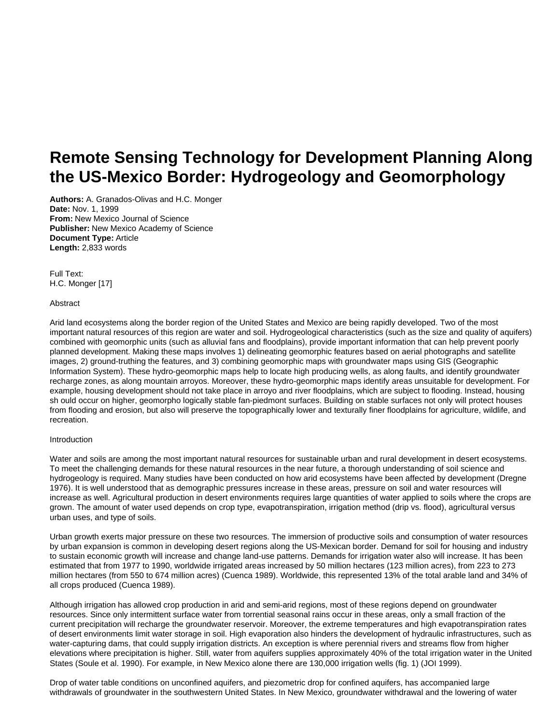# **Remote Sensing Technology for Development Planning Along the US-Mexico Border: Hydrogeology and Geomorphology**

**Authors:** A. Granados-Olivas and H.C. Monger **Date:** Nov. 1, 1999 **From:** New Mexico Journal of Science **Publisher:** New Mexico Academy of Science **Document Type:** Article **Length:** 2,833 words

Full Text: H.C. Monger [17]

#### Abstract

Arid land ecosystems along the border region of the United States and Mexico are being rapidly developed. Two of the most important natural resources of this region are water and soil. Hydrogeological characteristics (such as the size and quality of aquifers) combined with geomorphic units (such as alluvial fans and floodplains), provide important information that can help prevent poorly planned development. Making these maps involves 1) delineating geomorphic features based on aerial photographs and satellite images, 2) ground-truthing the features, and 3) combining geomorphic maps with groundwater maps using GIS (Geographic Information System). These hydro-geomorphic maps help to locate high producing wells, as along faults, and identify groundwater recharge zones, as along mountain arroyos. Moreover, these hydro-geomorphic maps identify areas unsuitable for development. For example, housing development should not take place in arroyo and river floodplains, which are subject to flooding. Instead, housing sh ould occur on higher, geomorpho logically stable fan-piedmont surfaces. Building on stable surfaces not only will protect houses from flooding and erosion, but also will preserve the topographically lower and texturally finer floodplains for agriculture, wildlife, and recreation.

#### Introduction

Water and soils are among the most important natural resources for sustainable urban and rural development in desert ecosystems. To meet the challenging demands for these natural resources in the near future, a thorough understanding of soil science and hydrogeology is required. Many studies have been conducted on how arid ecosystems have been affected by development (Dregne 1976). It is well understood that as demographic pressures increase in these areas, pressure on soil and water resources will increase as well. Agricultural production in desert environments requires large quantities of water applied to soils where the crops are grown. The amount of water used depends on crop type, evapotranspiration, irrigation method (drip vs. flood), agricultural versus urban uses, and type of soils.

Urban growth exerts major pressure on these two resources. The immersion of productive soils and consumption of water resources by urban expansion is common in developing desert regions along the US-Mexican border. Demand for soil for housing and industry to sustain economic growth will increase and change land-use patterns. Demands for irrigation water also will increase. It has been estimated that from 1977 to 1990, worldwide irrigated areas increased by 50 million hectares (123 million acres), from 223 to 273 million hectares (from 550 to 674 million acres) (Cuenca 1989). Worldwide, this represented 13% of the total arable land and 34% of all crops produced (Cuenca 1989).

Although irrigation has allowed crop production in arid and semi-arid regions, most of these regions depend on groundwater resources. Since only intermittent surface water from torrential seasonal rains occur in these areas, only a small fraction of the current precipitation will recharge the groundwater reservoir. Moreover, the extreme temperatures and high evapotranspiration rates of desert environments limit water storage in soil. High evaporation also hinders the development of hydraulic infrastructures, such as water-capturing dams, that could supply irrigation districts. An exception is where perennial rivers and streams flow from higher elevations where precipitation is higher. Still, water from aquifers supplies approximately 40% of the total irrigation water in the United States (Soule et al. 1990). For example, in New Mexico alone there are 130,000 irrigation wells (fig. 1) (JOI 1999).

Drop of water table conditions on unconfined aquifers, and piezometric drop for confined aquifers, has accompanied large withdrawals of groundwater in the southwestern United States. In New Mexico, groundwater withdrawal and the lowering of water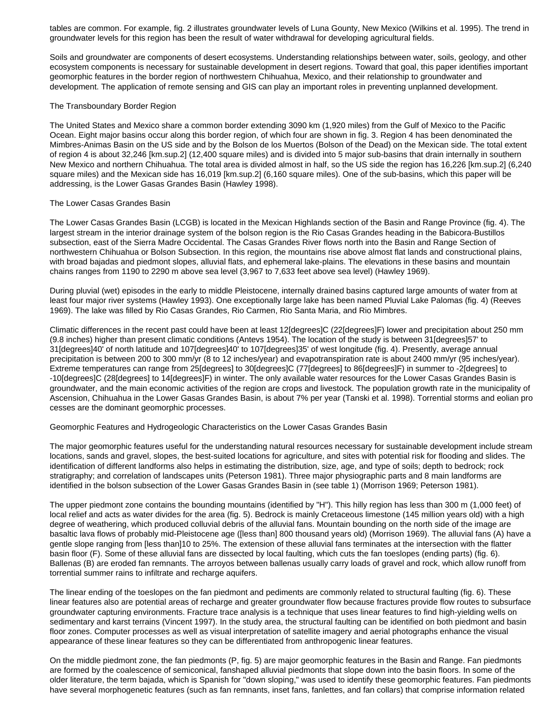tables are common. For example, fig. 2 illustrates groundwater levels of Luna Gounty, New Mexico (Wilkins et al. 1995). The trend in groundwater levels for this region has been the result of water withdrawal for developing agricultural fields.

Soils and groundwater are components of desert ecosystems. Understanding relationships between water, soils, geology, and other ecosystem components is necessary for sustainable development in desert regions. Toward that goal, this paper identifies important geomorphic features in the border region of northwestern Chihuahua, Mexico, and their relationship to groundwater and development. The application of remote sensing and GIS can play an important roles in preventing unplanned development.

## The Transboundary Border Region

The United States and Mexico share a common border extending 3090 km (1,920 miles) from the Gulf of Mexico to the Pacific Ocean. Eight major basins occur along this border region, of which four are shown in fig. 3. Region 4 has been denominated the Mimbres-Animas Basin on the US side and by the Bolson de los Muertos (Bolson of the Dead) on the Mexican side. The total extent of region 4 is about 32,246 [km.sup.2] (12,400 square miles) and is divided into 5 major sub-basins that drain internally in southern New Mexico and northern Chihuahua. The total area is divided almost in half, so the US side the region has 16,226 [km.sup.2] (6,240 square miles) and the Mexican side has 16,019 [km.sup.2] (6,160 square miles). One of the sub-basins, which this paper will be addressing, is the Lower Gasas Grandes Basin (Hawley 1998).

## The Lower Casas Grandes Basin

The Lower Casas Grandes Basin (LCGB) is located in the Mexican Highlands section of the Basin and Range Province (fig. 4). The largest stream in the interior drainage system of the bolson region is the Rio Casas Grandes heading in the Babicora-Bustillos subsection, east of the Sierra Madre Occidental. The Casas Grandes River flows north into the Basin and Range Section of northwestern Chihuahua or Bolson Subsection. In this region, the mountains rise above almost flat lands and constructional plains, with broad bajadas and piedmont slopes, alluvial flats, and ephemeral lake-plains. The elevations in these basins and mountain chains ranges from 1190 to 2290 m above sea level (3,967 to 7,633 feet above sea level) (Hawley 1969).

During pluvial (wet) episodes in the early to middle Pleistocene, internally drained basins captured large amounts of water from at least four major river systems (Hawley 1993). One exceptionally large lake has been named Pluvial Lake Palomas (fig. 4) (Reeves 1969). The lake was filled by Rio Casas Grandes, Rio Carmen, Rio Santa Maria, and Rio Mimbres.

Climatic differences in the recent past could have been at least 12[degrees]C (22[degrees]F) lower and precipitation about 250 mm (9.8 inches) higher than present climatic conditions (Antevs 1954). The location of the study is between 31[degrees]57' to 31[degrees]40' of north latitude and 107[degrees]40' to 107[degrees]35' of west longitude (fig. 4). Presently, average annual precipitation is between 200 to 300 mm/yr (8 to 12 inches/year) and evapotranspiration rate is about 2400 mm/yr (95 inches/year). Extreme temperatures can range from 25[degrees] to 30[degrees]C (77[degrees] to 86[degrees]F) in summer to -2[degrees] to -10[degrees]C (28[degrees] to 14[degrees]F) in winter. The only available water resources for the Lower Casas Grandes Basin is groundwater, and the main economic activities of the region are crops and livestock. The population growth rate in the municipality of Ascension, Chihuahua in the Lower Gasas Grandes Basin, is about 7% per year (Tanski et al. 1998). Torrential storms and eolian pro cesses are the dominant geomorphic processes.

#### Geomorphic Features and Hydrogeologic Characteristics on the Lower Casas Grandes Basin

The major geomorphic features useful for the understanding natural resources necessary for sustainable development include stream locations, sands and gravel, slopes, the best-suited locations for agriculture, and sites with potential risk for flooding and slides. The identification of different landforms also helps in estimating the distribution, size, age, and type of soils; depth to bedrock; rock stratigraphy; and correlation of landscapes units (Peterson 1981). Three major physiographic parts and 8 main landforms are identified in the bolson subsection of the Lower Gasas Grandes Basin in (see table 1) (Morrison 1969; Peterson 1981).

The upper piedmont zone contains the bounding mountains (identified by "H"). This hilly region has less than 300 m (1,000 feet) of local relief and acts as water divides for the area (fig. 5). Bedrock is mainly Cretaceous limestone (145 million years old) with a high degree of weathering, which produced colluvial debris of the alluvial fans. Mountain bounding on the north side of the image are basaltic lava flows of probably mid-Pleistocene age ([less than] 800 thousand years old) (Morrison 1969). The alluvial fans (A) have a gentle slope ranging from [less than]10 to 25%. The extension of these alluvial fans terminates at the intersection with the flatter basin floor (F). Some of these alluvial fans are dissected by local faulting, which cuts the fan toeslopes (ending parts) (fig. 6). Ballenas (B) are eroded fan remnants. The arroyos between ballenas usually carry loads of gravel and rock, which allow runoff from torrential summer rains to infiltrate and recharge aquifers.

The linear ending of the toeslopes on the fan piedmont and pediments are commonly related to structural faulting (fig. 6). These linear features also are potential areas of recharge and greater groundwater flow because fractures provide flow routes to subsurface groundwater capturing environments. Fracture trace analysis is a technique that uses linear features to find high-yielding wells on sedimentary and karst terrains (Vincent 1997). In the study area, the structural faulting can be identified on both piedmont and basin floor zones. Computer processes as well as visual interpretation of satellite imagery and aerial photographs enhance the visual appearance of these linear features so they can be differentiated from anthropogenic linear features.

On the middle piedmont zone, the fan piedmonts (P, fig. 5) are major geomorphic features in the Basin and Range. Fan piedmonts are formed by the coalescence of semiconical, fanshaped alluvial piedmonts that slope down into the basin floors. In some of the older literature, the term bajada, which is Spanish for "down sloping," was used to identify these geomorphic features. Fan piedmonts have several morphogenetic features (such as fan remnants, inset fans, fanlettes, and fan collars) that comprise information related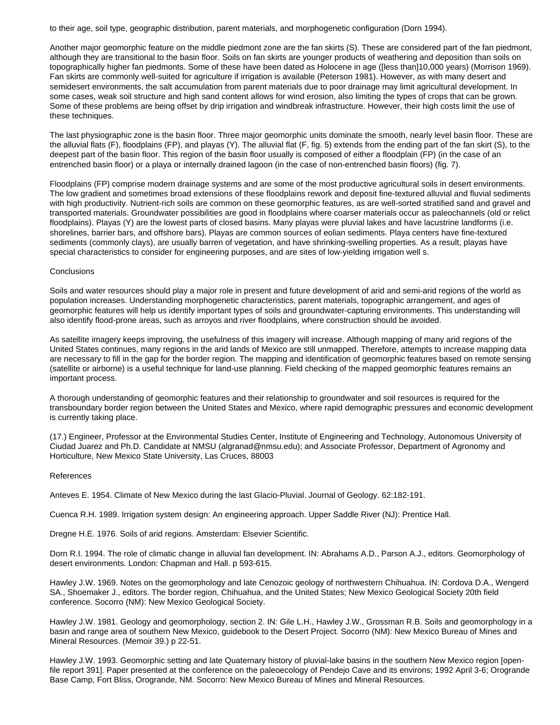to their age, soil type, geographic distribution, parent materials, and morphogenetic configuration (Dorn 1994).

Another major geomorphic feature on the middle piedmont zone are the fan skirts (S). These are considered part of the fan piedmont, although they are transitional to the basin floor. Soils on fan skirts are younger products of weathering and deposition than soils on topographically higher fan piedmonts. Some of these have been dated as Holocene in age ([less than]10,000 years) (Morrison 1969). Fan skirts are commonly well-suited for agriculture if irrigation is available (Peterson 1981). However, as with many desert and semidesert environments, the salt accumulation from parent materials due to poor drainage may limit agricultural development. In some cases, weak soil structure and high sand content allows for wind erosion, also limiting the types of crops that can be grown. Some of these problems are being offset by drip irrigation and windbreak infrastructure. However, their high costs limit the use of these techniques.

The last physiographic zone is the basin floor. Three major geomorphic units dominate the smooth, nearly level basin floor. These are the alluvial flats (F), floodplains (FP), and playas (Y). The alluvial flat (F, fig. 5) extends from the ending part of the fan skirt (S), to the deepest part of the basin floor. This region of the basin floor usually is composed of either a floodplain (FP) (in the case of an entrenched basin floor) or a playa or internally drained lagoon (in the case of non-entrenched basin floors) (fig. 7).

Floodplains (FP) comprise modern drainage systems and are some of the most productive agricultural soils in desert environments. The low gradient and sometimes broad extensions of these floodplains rework and deposit fine-textured alluvial and fluvial sediments with high productivity. Nutrient-rich soils are common on these geomorphic features, as are well-sorted stratified sand and gravel and transported materials. Groundwater possibilities are good in floodplains where coarser materials occur as paleochannels (old or relict floodplains). Playas (Y) are the lowest parts of closed basins. Many playas were pluvial lakes and have lacustrine landforms (i.e. shorelines, barrier bars, and offshore bars). Playas are common sources of eolian sediments. Playa centers have fine-textured sediments (commonly clays), are usually barren of vegetation, and have shrinking-swelling properties. As a result, playas have special characteristics to consider for engineering purposes, and are sites of low-yielding irrigation well s.

## **Conclusions**

Soils and water resources should play a major role in present and future development of arid and semi-arid regions of the world as population increases. Understanding morphogenetic characteristics, parent materials, topographic arrangement, and ages of geomorphic features will help us identify important types of soils and groundwater-capturing environments. This understanding will also identify flood-prone areas, such as arroyos and river floodplains, where construction should be avoided.

As satellite imagery keeps improving, the usefulness of this imagery will increase. Although mapping of many arid regions of the United States continues, many regions in the arid lands of Mexico are still unmapped. Therefore, attempts to increase mapping data are necessary to fill in the gap for the border region. The mapping and identification of geomorphic features based on remote sensing (satellite or airborne) is a useful technique for land-use planning. Field checking of the mapped geomorphic features remains an important process.

A thorough understanding of geomorphic features and their relationship to groundwater and soil resources is required for the transboundary border region between the United States and Mexico, where rapid demographic pressures and economic development is currently taking place.

(17.) Engineer, Professor at the Environmental Studies Center, Institute of Engineering and Technology, Autonomous University of Ciudad Juarez and Ph.D. Candidate at NMSU (algranad@nmsu.edu); and Associate Professor, Department of Agronomy and Horticulture, New Mexico State University, Las Cruces, 88003

# References

Anteves E. 1954. Climate of New Mexico during the last Glacio-Pluvial. Journal of Geology. 62:182-191.

Cuenca R.H. 1989. Irrigation system design: An engineering approach. Upper Saddle River (NJ): Prentice Hall.

Dregne H.E. 1976. Soils of arid regions. Amsterdam: Elsevier Scientific.

Dorn R.I. 1994. The role of climatic change in alluvial fan development. IN: Abrahams A.D., Parson A.J., editors. Geomorphology of desert environments. London: Chapman and Hall. p 593-615.

Hawley J.W. 1969. Notes on the geomorphology and late Cenozoic geology of northwestern Chihuahua. IN: Cordova D.A., Wengerd SA., Shoemaker J., editors. The border region, Chihuahua, and the United States; New Mexico Geological Society 20th field conference. Socorro (NM): New Mexico Geological Society.

Hawley J.W. 1981. Geology and geomorphology, section 2. IN: Gile L.H., Hawley J.W., Grossman R.B. Soils and geomorphology in a basin and range area of southern New Mexico, guidebook to the Desert Project. Socorro (NM): New Mexico Bureau of Mines and Mineral Resources. (Memoir 39.) p 22-51.

Hawley J.W. 1993. Geomorphic setting and late Quaternary history of pluvial-lake basins in the southern New Mexico region [openfile report 391]. Paper presented at the conference on the paleoecology of Pendejo Cave and its environs; 1992 April 3-6; Orogrande Base Camp, Fort Bliss, Orogrande, NM. Socorro: New Mexico Bureau of Mines and Mineral Resources.